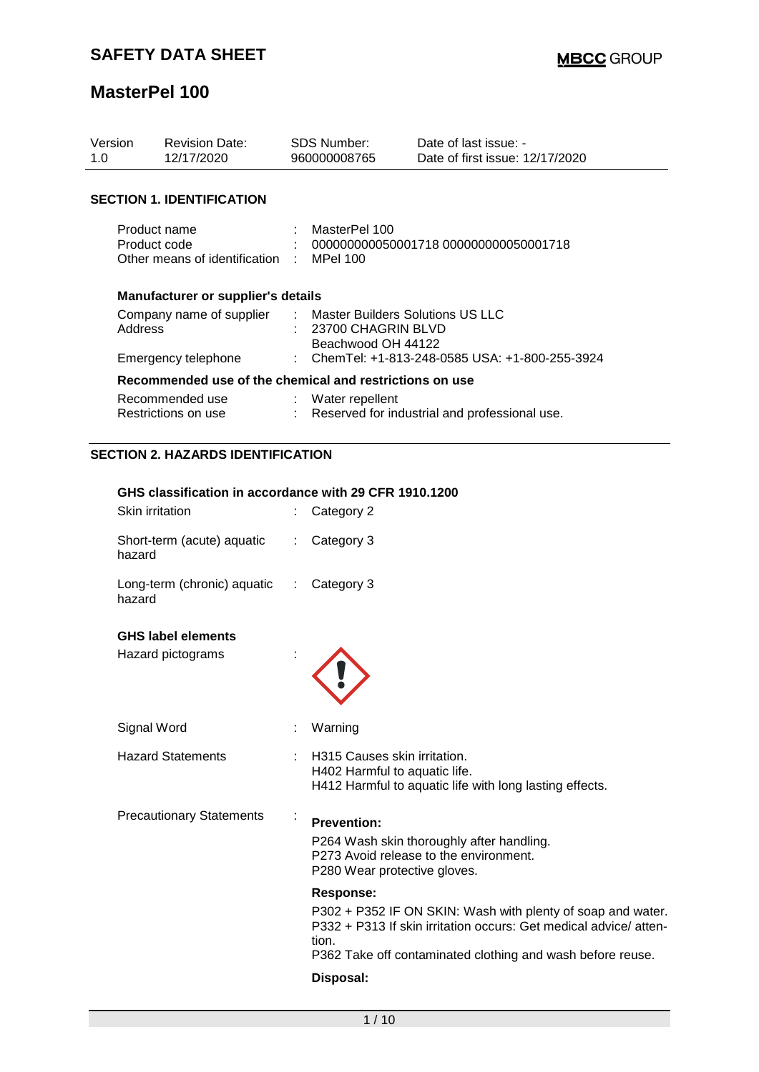| Version<br>1.0   | <b>Revision Date:</b><br>12/17/2020                                                                                                                                                      |                           | SDS Number:<br>960000008765                                                  | Date of last issue: -<br>Date of first issue: 12/17/2020                                                                        |  |  |
|------------------|------------------------------------------------------------------------------------------------------------------------------------------------------------------------------------------|---------------------------|------------------------------------------------------------------------------|---------------------------------------------------------------------------------------------------------------------------------|--|--|
|                  | <b>SECTION 1. IDENTIFICATION</b>                                                                                                                                                         |                           |                                                                              |                                                                                                                                 |  |  |
|                  | Product name<br>Product code<br>Other means of identification                                                                                                                            |                           | MasterPel 100<br><b>MPel 100</b>                                             | 000000000050001718 000000000050001718                                                                                           |  |  |
|                  | Manufacturer or supplier's details                                                                                                                                                       |                           |                                                                              |                                                                                                                                 |  |  |
| Address          | Company name of supplier                                                                                                                                                                 |                           | Master Builders Solutions US LLC<br>23700 CHAGRIN BLVD<br>Beachwood OH 44122 |                                                                                                                                 |  |  |
|                  | Emergency telephone                                                                                                                                                                      |                           |                                                                              | ChemTel: +1-813-248-0585 USA: +1-800-255-3924                                                                                   |  |  |
|                  | Recommended use of the chemical and restrictions on use                                                                                                                                  |                           |                                                                              |                                                                                                                                 |  |  |
|                  | Recommended use<br>Restrictions on use                                                                                                                                                   | ÷                         | Water repellent                                                              | Reserved for industrial and professional use.                                                                                   |  |  |
|                  | <b>SECTION 2. HAZARDS IDENTIFICATION</b>                                                                                                                                                 |                           |                                                                              |                                                                                                                                 |  |  |
| hazard<br>hazard | GHS classification in accordance with 29 CFR 1910.1200<br>Skin irritation<br>Short-term (acute) aquatic<br>Long-term (chronic) aquatic<br><b>GHS label elements</b><br>Hazard pictograms | $\mathbb{Z}^{\mathbb{Z}}$ | Category 2<br>Category 3<br>Category 3                                       |                                                                                                                                 |  |  |
|                  |                                                                                                                                                                                          |                           |                                                                              |                                                                                                                                 |  |  |
|                  | Signal Word                                                                                                                                                                              |                           | Warning                                                                      |                                                                                                                                 |  |  |
|                  | <b>Hazard Statements</b>                                                                                                                                                                 |                           | H315 Causes skin irritation.<br>H402 Harmful to aquatic life.                | H412 Harmful to aquatic life with long lasting effects.                                                                         |  |  |
|                  | <b>Precautionary Statements</b>                                                                                                                                                          |                           | <b>Prevention:</b><br>P280 Wear protective gloves.                           | P264 Wash skin thoroughly after handling.<br>P273 Avoid release to the environment.                                             |  |  |
|                  |                                                                                                                                                                                          |                           | <b>Response:</b><br>tion.                                                    | P302 + P352 IF ON SKIN: Wash with plenty of soap and water.<br>P332 + P313 If skin irritation occurs: Get medical advice/atten- |  |  |

P362 Take off contaminated clothing and wash before reuse.

## **Disposal:**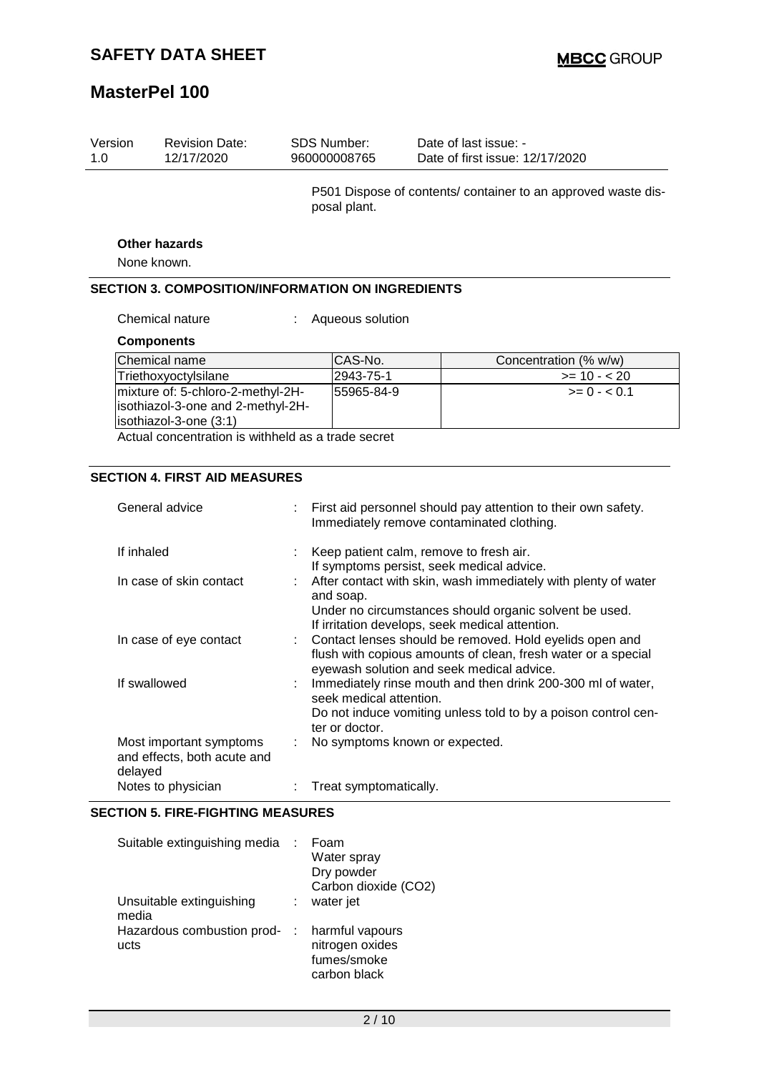| Version<br>1.0 | <b>Revision Date:</b><br>12/17/2020                                                              |                                                                                                            | <b>SDS Number:</b><br>960000008765                                                                                                                                                       | Date of last issue: -<br>Date of first issue: 12/17/2020                             |  |
|----------------|--------------------------------------------------------------------------------------------------|------------------------------------------------------------------------------------------------------------|------------------------------------------------------------------------------------------------------------------------------------------------------------------------------------------|--------------------------------------------------------------------------------------|--|
|                |                                                                                                  |                                                                                                            | posal plant.                                                                                                                                                                             | P501 Dispose of contents/ container to an approved waste dis-                        |  |
|                | <b>Other hazards</b>                                                                             |                                                                                                            |                                                                                                                                                                                          |                                                                                      |  |
|                | None known.                                                                                      |                                                                                                            |                                                                                                                                                                                          |                                                                                      |  |
|                | <b>SECTION 3. COMPOSITION/INFORMATION ON INGREDIENTS</b>                                         |                                                                                                            |                                                                                                                                                                                          |                                                                                      |  |
|                | Chemical nature                                                                                  |                                                                                                            | Aqueous solution                                                                                                                                                                         |                                                                                      |  |
|                | <b>Components</b>                                                                                |                                                                                                            |                                                                                                                                                                                          |                                                                                      |  |
|                | Chemical name                                                                                    |                                                                                                            | CAS-No.                                                                                                                                                                                  | Concentration (% w/w)                                                                |  |
|                | Triethoxyoctylsilane                                                                             |                                                                                                            | 2943-75-1                                                                                                                                                                                | $>= 10 - 20$                                                                         |  |
|                | mixture of: 5-chloro-2-methyl-2H-<br>isothiazol-3-one and 2-methyl-2H-<br>isothiazol-3-one (3:1) |                                                                                                            | 55965-84-9                                                                                                                                                                               | $>= 0 - 0.1$                                                                         |  |
|                | Actual concentration is withheld as a trade secret                                               |                                                                                                            |                                                                                                                                                                                          |                                                                                      |  |
|                |                                                                                                  |                                                                                                            |                                                                                                                                                                                          |                                                                                      |  |
|                | <b>SECTION 4. FIRST AID MEASURES</b>                                                             |                                                                                                            |                                                                                                                                                                                          |                                                                                      |  |
|                | General advice                                                                                   | First aid personnel should pay attention to their own safety.<br>Immediately remove contaminated clothing. |                                                                                                                                                                                          |                                                                                      |  |
| If inhaled     |                                                                                                  |                                                                                                            |                                                                                                                                                                                          | Keep patient calm, remove to fresh air.<br>If symptoms persist, seek medical advice. |  |
|                | In case of skin contact                                                                          |                                                                                                            | After contact with skin, wash immediately with plenty of water<br>and soap.<br>Under no circumstances should organic solvent be used.<br>If irritation develops, seek medical attention. |                                                                                      |  |
|                | In case of eye contact                                                                           |                                                                                                            | Contact lenses should be removed. Hold eyelids open and<br>flush with copious amounts of clean, fresh water or a special<br>eyewash solution and seek medical advice.                    |                                                                                      |  |
|                | If swallowed                                                                                     |                                                                                                            | Immediately rinse mouth and then drink 200-300 ml of water,<br>seek medical attention.<br>Do not induce vomiting unless told to by a poison control cen-<br>ter or doctor.               |                                                                                      |  |
|                | Most important symptoms                                                                          |                                                                                                            |                                                                                                                                                                                          | No symptoms known or expected.                                                       |  |

#### **SECTION 5. FIRE-FIGHTING MEASURES**

and effects, both acute and

delayed

| Suitable extinguishing media       | Foam<br>Water spray<br>Dry powder<br>Carbon dioxide (CO2)         |  |
|------------------------------------|-------------------------------------------------------------------|--|
| Unsuitable extinguishing<br>media  | water jet                                                         |  |
| Hazardous combustion prod-<br>ucts | harmful vapours<br>nitrogen oxides<br>fumes/smoke<br>carbon black |  |

Notes to physician **interpretent contact to provide** : Treat symptomatically.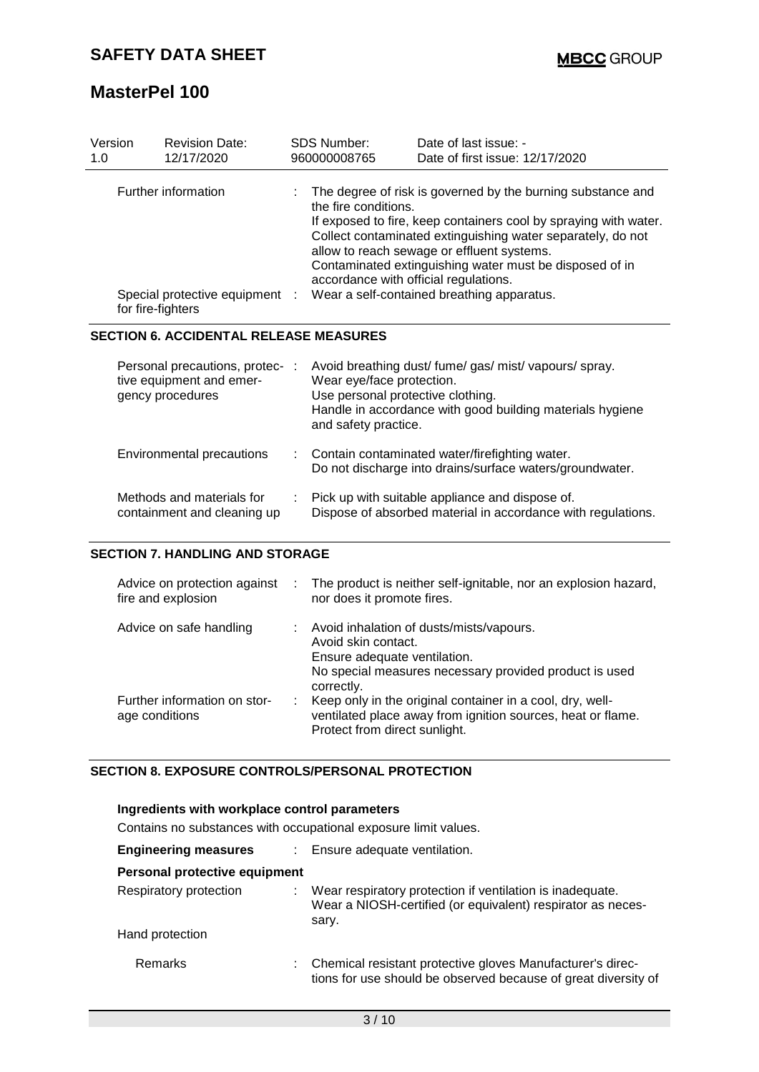| Version<br>1.0                                                             | <b>Revision Date:</b><br>12/17/2020                                             | <b>SDS Number:</b><br>960000008765                                                                                                                                                                                                                                                                                                                                                                                     | Date of last issue: -<br>Date of first issue: 12/17/2020                                                            |  |
|----------------------------------------------------------------------------|---------------------------------------------------------------------------------|------------------------------------------------------------------------------------------------------------------------------------------------------------------------------------------------------------------------------------------------------------------------------------------------------------------------------------------------------------------------------------------------------------------------|---------------------------------------------------------------------------------------------------------------------|--|
| Further information<br>Special protective equipment :<br>for fire-fighters |                                                                                 | The degree of risk is governed by the burning substance and<br>the fire conditions.<br>If exposed to fire, keep containers cool by spraying with water.<br>Collect contaminated extinguishing water separately, do not<br>allow to reach sewage or effluent systems.<br>Contaminated extinguishing water must be disposed of in<br>accordance with official regulations.<br>Wear a self-contained breathing apparatus. |                                                                                                                     |  |
|                                                                            | <b>SECTION 6. ACCIDENTAL RELEASE MEASURES</b>                                   |                                                                                                                                                                                                                                                                                                                                                                                                                        |                                                                                                                     |  |
|                                                                            | Personal precautions, protec- :<br>tive equipment and emer-<br>gency procedures | Wear eye/face protection.<br>Use personal protective clothing.<br>and safety practice.                                                                                                                                                                                                                                                                                                                                 | Avoid breathing dust/ fume/ gas/ mist/ vapours/ spray.<br>Handle in accordance with good building materials hygiene |  |
|                                                                            | Environmental precautions                                                       |                                                                                                                                                                                                                                                                                                                                                                                                                        | Contain contaminated water/firefighting water.<br>Do not discharge into drains/surface waters/groundwater.          |  |
|                                                                            | Methods and materials for<br>containment and cleaning up                        |                                                                                                                                                                                                                                                                                                                                                                                                                        | Pick up with suitable appliance and dispose of.<br>Dispose of absorbed material in accordance with regulations.     |  |

#### **SECTION 7. HANDLING AND STORAGE**

| Advice on protection against<br>fire and explosion | ÷. | The product is neither self-ignitable, nor an explosion hazard,<br>nor does it promote fires.                                                                             |
|----------------------------------------------------|----|---------------------------------------------------------------------------------------------------------------------------------------------------------------------------|
| Advice on safe handling                            |    | : Avoid inhalation of dusts/mists/vapours.<br>Avoid skin contact.<br>Ensure adequate ventilation.<br>No special measures necessary provided product is used<br>correctly. |
| Further information on stor-<br>age conditions     |    | Keep only in the original container in a cool, dry, well-<br>ventilated place away from ignition sources, heat or flame.<br>Protect from direct sunlight.                 |

## **SECTION 8. EXPOSURE CONTROLS/PERSONAL PROTECTION**

| Ingredients with workplace control parameters<br>Contains no substances with occupational exposure limit values. |  |                                                                                                                                   |  |  |  |
|------------------------------------------------------------------------------------------------------------------|--|-----------------------------------------------------------------------------------------------------------------------------------|--|--|--|
| <b>Engineering measures</b>                                                                                      |  | : Ensure adequate ventilation.                                                                                                    |  |  |  |
| Personal protective equipment                                                                                    |  |                                                                                                                                   |  |  |  |
| Respiratory protection                                                                                           |  | Wear respiratory protection if ventilation is inadequate.<br>Wear a NIOSH-certified (or equivalent) respirator as neces-<br>sary. |  |  |  |
| Hand protection                                                                                                  |  |                                                                                                                                   |  |  |  |
| <b>Remarks</b>                                                                                                   |  | Chemical resistant protective gloves Manufacturer's direc-<br>tions for use should be observed because of great diversity of      |  |  |  |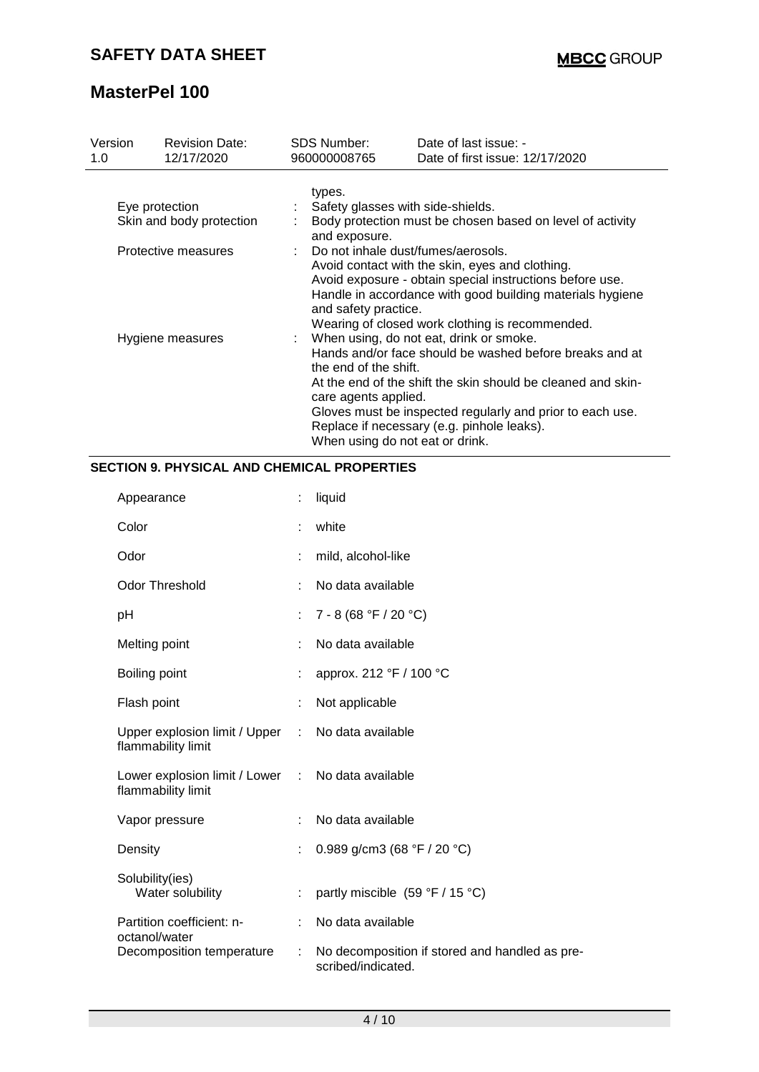| Version<br>1.0                             | <b>Revision Date:</b><br>12/17/2020 | <b>SDS Number:</b><br>960000008765                                                                                                                                                                                                                                                          | Date of last issue: -<br>Date of first issue: 12/17/2020                                                                                                                                                                                                                        |  |  |  |  |
|--------------------------------------------|-------------------------------------|---------------------------------------------------------------------------------------------------------------------------------------------------------------------------------------------------------------------------------------------------------------------------------------------|---------------------------------------------------------------------------------------------------------------------------------------------------------------------------------------------------------------------------------------------------------------------------------|--|--|--|--|
| Eye protection<br>Skin and body protection |                                     | types.<br>Safety glasses with side-shields.<br>Body protection must be chosen based on level of activity<br>and exposure.                                                                                                                                                                   |                                                                                                                                                                                                                                                                                 |  |  |  |  |
| Protective measures                        |                                     | : Do not inhale dust/fumes/aerosols.<br>Avoid contact with the skin, eyes and clothing.<br>Avoid exposure - obtain special instructions before use.<br>Handle in accordance with good building materials hygiene<br>and safety practice.<br>Wearing of closed work clothing is recommended. |                                                                                                                                                                                                                                                                                 |  |  |  |  |
| Hygiene measures                           |                                     | the end of the shift.<br>care agents applied.<br>When using do not eat or drink.                                                                                                                                                                                                            | : When using, do not eat, drink or smoke.<br>Hands and/or face should be washed before breaks and at<br>At the end of the shift the skin should be cleaned and skin-<br>Gloves must be inspected regularly and prior to each use.<br>Replace if necessary (e.g. pinhole leaks). |  |  |  |  |

## **SECTION 9. PHYSICAL AND CHEMICAL PROPERTIES**

| Appearance                                                              | ÷  | liquid                                                               |
|-------------------------------------------------------------------------|----|----------------------------------------------------------------------|
| Color                                                                   |    | white                                                                |
| Odor                                                                    |    | mild, alcohol-like                                                   |
| <b>Odor Threshold</b>                                                   |    | No data available                                                    |
| рH                                                                      | ÷. | $7 - 8(68 °F / 20 °C)$                                               |
| Melting point                                                           |    | No data available                                                    |
| Boiling point                                                           |    | approx. 212 °F / 100 °C                                              |
| Flash point                                                             |    | Not applicable                                                       |
| Upper explosion limit / Upper<br>flammability limit                     | ÷. | No data available                                                    |
| Lower explosion limit / Lower : No data available<br>flammability limit |    |                                                                      |
| Vapor pressure                                                          |    | No data available                                                    |
| Density                                                                 |    | 0.989 g/cm3 (68 °F / 20 °C)                                          |
| Solubility(ies)<br>Water solubility                                     |    | partly miscible (59 °F / 15 °C)                                      |
| Partition coefficient: n-<br>octanol/water                              |    | No data available                                                    |
| Decomposition temperature                                               |    | No decomposition if stored and handled as pre-<br>scribed/indicated. |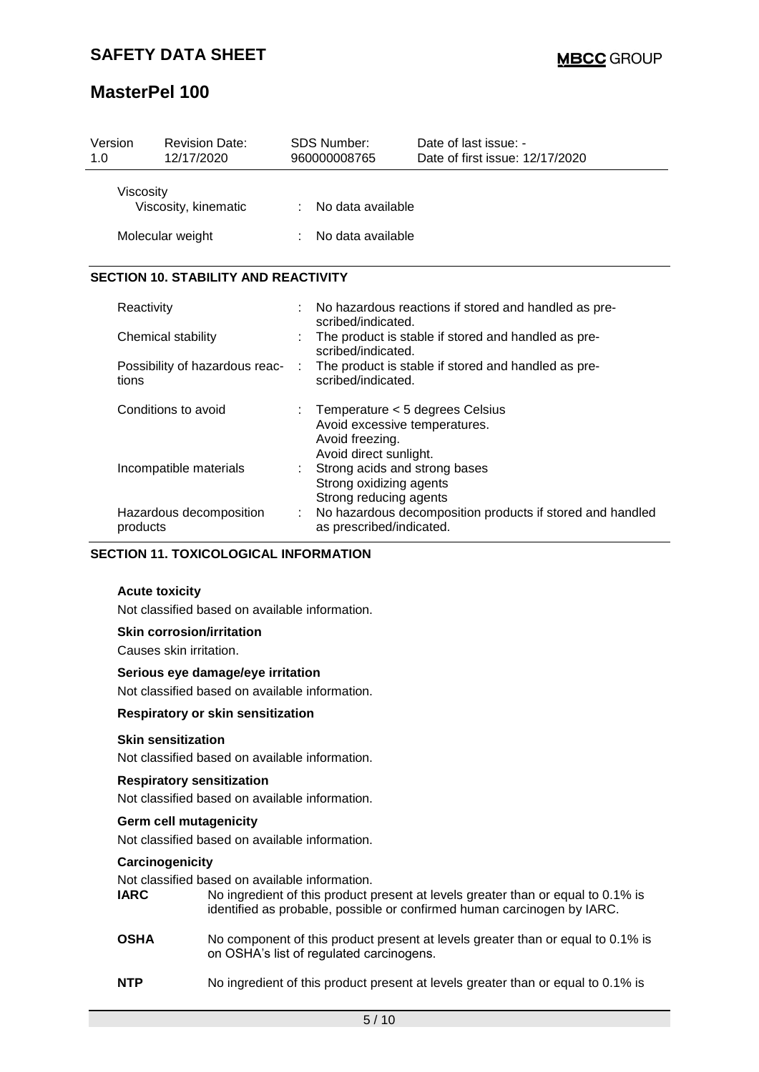| Version<br>1.0                                                                                                 | <b>Revision Date:</b><br>12/17/2020          |                   | <b>SDS Number:</b><br>960000008765                                                                            | Date of last issue: -<br>Date of first issue: 12/17/2020  |  |  |  |
|----------------------------------------------------------------------------------------------------------------|----------------------------------------------|-------------------|---------------------------------------------------------------------------------------------------------------|-----------------------------------------------------------|--|--|--|
|                                                                                                                | Viscosity<br>Viscosity, kinematic            |                   | No data available                                                                                             |                                                           |  |  |  |
| Molecular weight                                                                                               |                                              | No data available |                                                                                                               |                                                           |  |  |  |
|                                                                                                                | <b>SECTION 10. STABILITY AND REACTIVITY</b>  |                   |                                                                                                               |                                                           |  |  |  |
|                                                                                                                | Reactivity                                   |                   | scribed/indicated.                                                                                            | No hazardous reactions if stored and handled as pre-      |  |  |  |
| Chemical stability<br>Possibility of hazardous reac-<br>tions<br>Conditions to avoid<br>Incompatible materials |                                              |                   | scribed/indicated.                                                                                            | The product is stable if stored and handled as pre-       |  |  |  |
|                                                                                                                |                                              |                   | scribed/indicated.                                                                                            | The product is stable if stored and handled as pre-       |  |  |  |
|                                                                                                                |                                              |                   | Temperature < 5 degrees Celsius<br>Avoid excessive temperatures.<br>Avoid freezing.<br>Avoid direct sunlight. |                                                           |  |  |  |
|                                                                                                                |                                              |                   | Strong acids and strong bases<br>Strong oxidizing agents<br>Strong reducing agents                            |                                                           |  |  |  |
| Hazardous decomposition<br>products                                                                            |                                              | ÷                 | as prescribed/indicated.                                                                                      | No hazardous decomposition products if stored and handled |  |  |  |
|                                                                                                                | <b>SECTION 11. TOXICOLOGICAL INFORMATION</b> |                   |                                                                                                               |                                                           |  |  |  |

**Acute toxicity** Not classified based on available information.

## **Skin corrosion/irritation**

Causes skin irritation.

#### **Serious eye damage/eye irritation**

Not classified based on available information.

#### **Respiratory or skin sensitization**

#### **Skin sensitization**

Not classified based on available information.

## **Respiratory sensitization**

Not classified based on available information.

## **Germ cell mutagenicity**

Not classified based on available information.

#### **Carcinogenicity**

Not classified based on available information.

- **IARC** No ingredient of this product present at levels greater than or equal to 0.1% is identified as probable, possible or confirmed human carcinogen by IARC.
- **OSHA** No component of this product present at levels greater than or equal to 0.1% is on OSHA's list of regulated carcinogens.
- **NTP** No ingredient of this product present at levels greater than or equal to 0.1% is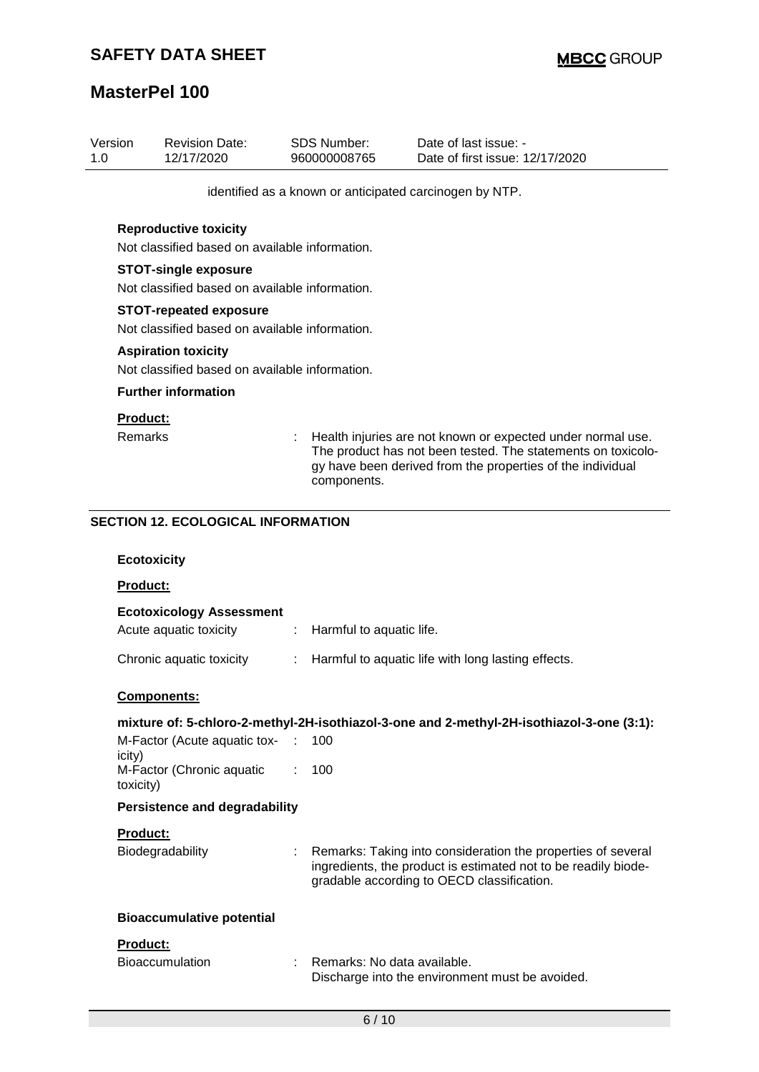| Version<br>1.0 |                                                                                 | <b>Revision Date:</b><br>12/17/2020                                          |    | <b>SDS Number:</b><br>960000008765 | Date of last issue: -<br>Date of first issue: 12/17/2020                                                                                                                                  |  |  |  |
|----------------|---------------------------------------------------------------------------------|------------------------------------------------------------------------------|----|------------------------------------|-------------------------------------------------------------------------------------------------------------------------------------------------------------------------------------------|--|--|--|
|                |                                                                                 |                                                                              |    |                                    | identified as a known or anticipated carcinogen by NTP.                                                                                                                                   |  |  |  |
|                | <b>Reproductive toxicity</b><br>Not classified based on available information.  |                                                                              |    |                                    |                                                                                                                                                                                           |  |  |  |
|                | <b>STOT-single exposure</b><br>Not classified based on available information.   |                                                                              |    |                                    |                                                                                                                                                                                           |  |  |  |
|                | <b>STOT-repeated exposure</b><br>Not classified based on available information. |                                                                              |    |                                    |                                                                                                                                                                                           |  |  |  |
|                |                                                                                 | <b>Aspiration toxicity</b><br>Not classified based on available information. |    |                                    |                                                                                                                                                                                           |  |  |  |
|                |                                                                                 | <b>Further information</b>                                                   |    |                                    |                                                                                                                                                                                           |  |  |  |
|                | <b>Product:</b><br><b>Remarks</b>                                               |                                                                              |    | components.                        | Health injuries are not known or expected under normal use.<br>The product has not been tested. The statements on toxicolo-<br>gy have been derived from the properties of the individual |  |  |  |
|                |                                                                                 | <b>SECTION 12. ECOLOGICAL INFORMATION</b>                                    |    |                                    |                                                                                                                                                                                           |  |  |  |
|                | <b>Ecotoxicity</b>                                                              |                                                                              |    |                                    |                                                                                                                                                                                           |  |  |  |
|                | Product:                                                                        |                                                                              |    |                                    |                                                                                                                                                                                           |  |  |  |
|                |                                                                                 | <b>Ecotoxicology Assessment</b><br>Acute aquatic toxicity                    | ÷. | Harmful to aquatic life.           |                                                                                                                                                                                           |  |  |  |
|                |                                                                                 | Chronic aquatic toxicity                                                     | ÷  |                                    | Harmful to aquatic life with long lasting effects.                                                                                                                                        |  |  |  |
|                |                                                                                 | Components:                                                                  |    |                                    |                                                                                                                                                                                           |  |  |  |
|                |                                                                                 |                                                                              |    |                                    | mixture of: 5-chloro-2-methyl-2H-isothiazol-3-one and 2-methyl-2H-isothiazol-3-one (3:1):                                                                                                 |  |  |  |
|                | icity)                                                                          | M-Factor (Acute aquatic tox-                                                 |    | 100                                |                                                                                                                                                                                           |  |  |  |
|                | toxicity)                                                                       | M-Factor (Chronic aquatic                                                    |    | 100                                |                                                                                                                                                                                           |  |  |  |
|                |                                                                                 | <b>Persistence and degradability</b>                                         |    |                                    |                                                                                                                                                                                           |  |  |  |
|                | <b>Product:</b>                                                                 |                                                                              |    |                                    |                                                                                                                                                                                           |  |  |  |
|                |                                                                                 | Biodegradability                                                             |    |                                    | Remarks: Taking into consideration the properties of several<br>ingredients, the product is estimated not to be readily biode-<br>gradable according to OECD classification.              |  |  |  |
|                |                                                                                 | <b>Bioaccumulative potential</b>                                             |    |                                    |                                                                                                                                                                                           |  |  |  |
|                | Product:                                                                        |                                                                              |    |                                    |                                                                                                                                                                                           |  |  |  |
|                |                                                                                 | <b>Bioaccumulation</b>                                                       |    | Remarks: No data available.        | Discharge into the environment must be avoided.                                                                                                                                           |  |  |  |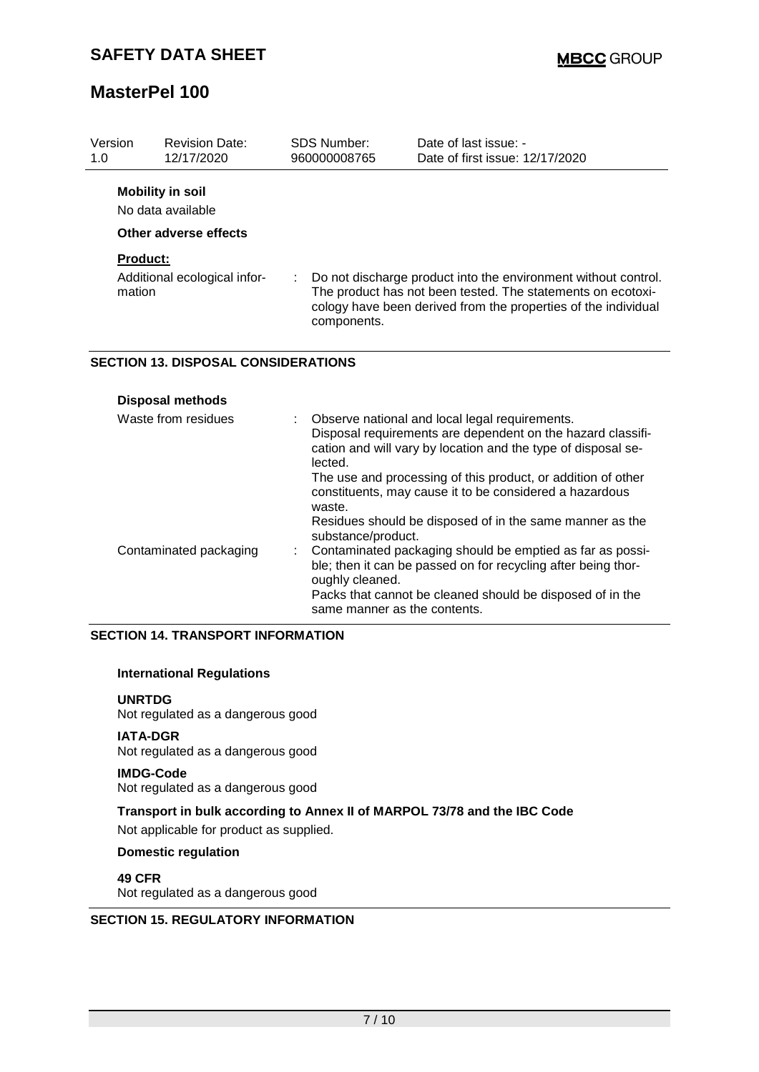**Disposal methods**

# **MasterPel 100**

| Version<br>1.0            | <b>Revision Date:</b><br>12/17/2020                                   | SDS Number:<br>960000008765 | Date of last issue: -<br>Date of first issue: 12/17/2020                                                                                                                                        |
|---------------------------|-----------------------------------------------------------------------|-----------------------------|-------------------------------------------------------------------------------------------------------------------------------------------------------------------------------------------------|
|                           | <b>Mobility in soil</b><br>No data available<br>Other adverse effects |                             |                                                                                                                                                                                                 |
| <b>Product:</b><br>mation | Additional ecological infor-                                          | ÷.<br>components.           | Do not discharge product into the environment without control.<br>The product has not been tested. The statements on ecotoxi-<br>cology have been derived from the properties of the individual |
|                           | <b>SECTION 13. DISPOSAL CONSIDERATIONS</b>                            |                             |                                                                                                                                                                                                 |

| Waste from residues    | : Observe national and local legal requirements.<br>Disposal requirements are dependent on the hazard classifi-<br>cation and will vary by location and the type of disposal se-<br>lected.<br>The use and processing of this product, or addition of other<br>constituents, may cause it to be considered a hazardous                   |
|------------------------|------------------------------------------------------------------------------------------------------------------------------------------------------------------------------------------------------------------------------------------------------------------------------------------------------------------------------------------|
| Contaminated packaging | waste.<br>Residues should be disposed of in the same manner as the<br>substance/product.<br>: Contaminated packaging should be emptied as far as possi-<br>ble; then it can be passed on for recycling after being thor-<br>oughly cleaned.<br>Packs that cannot be cleaned should be disposed of in the<br>same manner as the contents. |

## **SECTION 14. TRANSPORT INFORMATION**

## **International Regulations**

#### **UNRTDG**

Not regulated as a dangerous good

## **IATA-DGR**

Not regulated as a dangerous good

#### **IMDG-Code**

Not regulated as a dangerous good

## **Transport in bulk according to Annex II of MARPOL 73/78 and the IBC Code** Not applicable for product as supplied.

## **Domestic regulation**

**49 CFR** Not regulated as a dangerous good

## **SECTION 15. REGULATORY INFORMATION**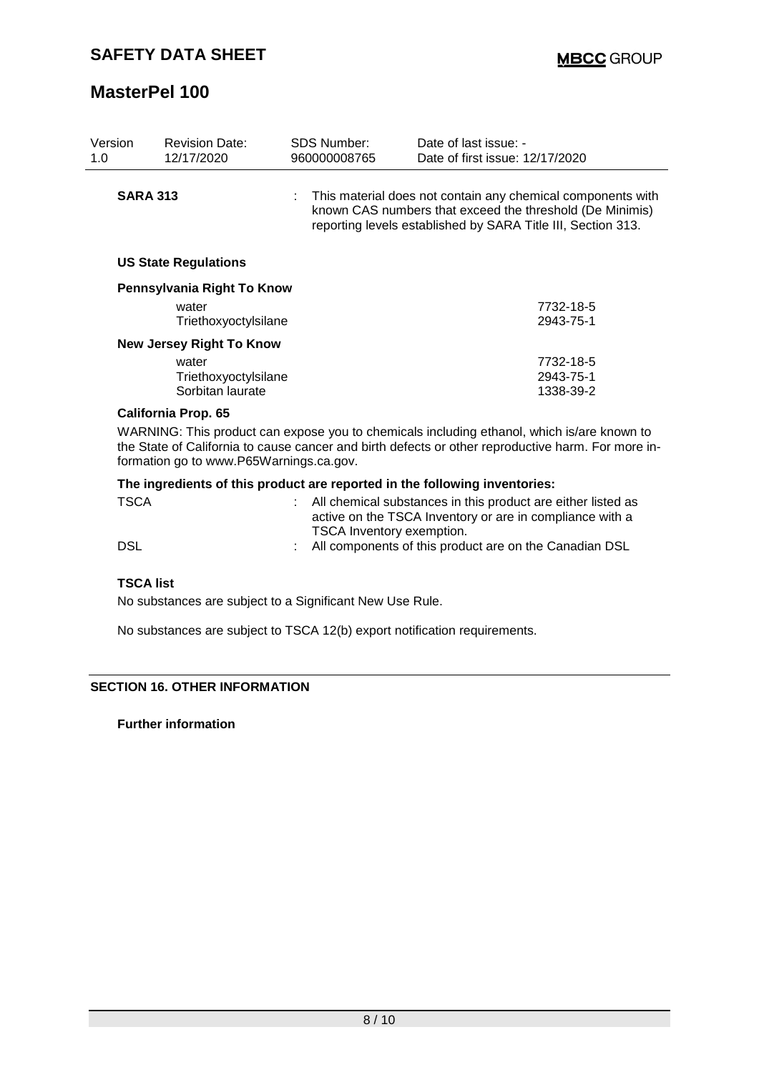| Version<br>1.0 |                                                                                                                                                                                                                                             | <b>Revision Date:</b><br>12/17/2020                         |  | <b>SDS Number:</b><br>960000008765                                                                                                                                                        | Date of last issue: -<br>Date of first issue: 12/17/2020                                                                 |                        |  |
|----------------|---------------------------------------------------------------------------------------------------------------------------------------------------------------------------------------------------------------------------------------------|-------------------------------------------------------------|--|-------------------------------------------------------------------------------------------------------------------------------------------------------------------------------------------|--------------------------------------------------------------------------------------------------------------------------|------------------------|--|
|                | <b>SARA 313</b>                                                                                                                                                                                                                             |                                                             |  | : This material does not contain any chemical components with<br>known CAS numbers that exceed the threshold (De Minimis)<br>reporting levels established by SARA Title III, Section 313. |                                                                                                                          |                        |  |
|                | <b>US State Regulations</b>                                                                                                                                                                                                                 |                                                             |  |                                                                                                                                                                                           |                                                                                                                          |                        |  |
|                |                                                                                                                                                                                                                                             | Pennsylvania Right To Know<br>water<br>Triethoxyoctylsilane |  |                                                                                                                                                                                           |                                                                                                                          | 7732-18-5<br>2943-75-1 |  |
|                | <b>New Jersey Right To Know</b>                                                                                                                                                                                                             |                                                             |  |                                                                                                                                                                                           |                                                                                                                          |                        |  |
|                |                                                                                                                                                                                                                                             | water                                                       |  |                                                                                                                                                                                           |                                                                                                                          | 7732-18-5              |  |
|                |                                                                                                                                                                                                                                             | Triethoxyoctylsilane<br>Sorbitan laurate                    |  |                                                                                                                                                                                           |                                                                                                                          | 2943-75-1<br>1338-39-2 |  |
|                | <b>California Prop. 65</b>                                                                                                                                                                                                                  |                                                             |  |                                                                                                                                                                                           |                                                                                                                          |                        |  |
|                | WARNING: This product can expose you to chemicals including ethanol, which is/are known to<br>the State of California to cause cancer and birth defects or other reproductive harm. For more in-<br>formation go to www.P65Warnings.ca.gov. |                                                             |  |                                                                                                                                                                                           |                                                                                                                          |                        |  |
|                | The ingredients of this product are reported in the following inventories:                                                                                                                                                                  |                                                             |  |                                                                                                                                                                                           |                                                                                                                          |                        |  |
|                | <b>TSCA</b>                                                                                                                                                                                                                                 |                                                             |  |                                                                                                                                                                                           | All chemical substances in this product are either listed as<br>active on the TSCA Inventory or are in compliance with a |                        |  |

TSCA Inventory exemption. DSL DSL : All components of this product are on the Canadian DSL

## **TSCA list**

No substances are subject to a Significant New Use Rule.

No substances are subject to TSCA 12(b) export notification requirements.

## **SECTION 16. OTHER INFORMATION**

**Further information**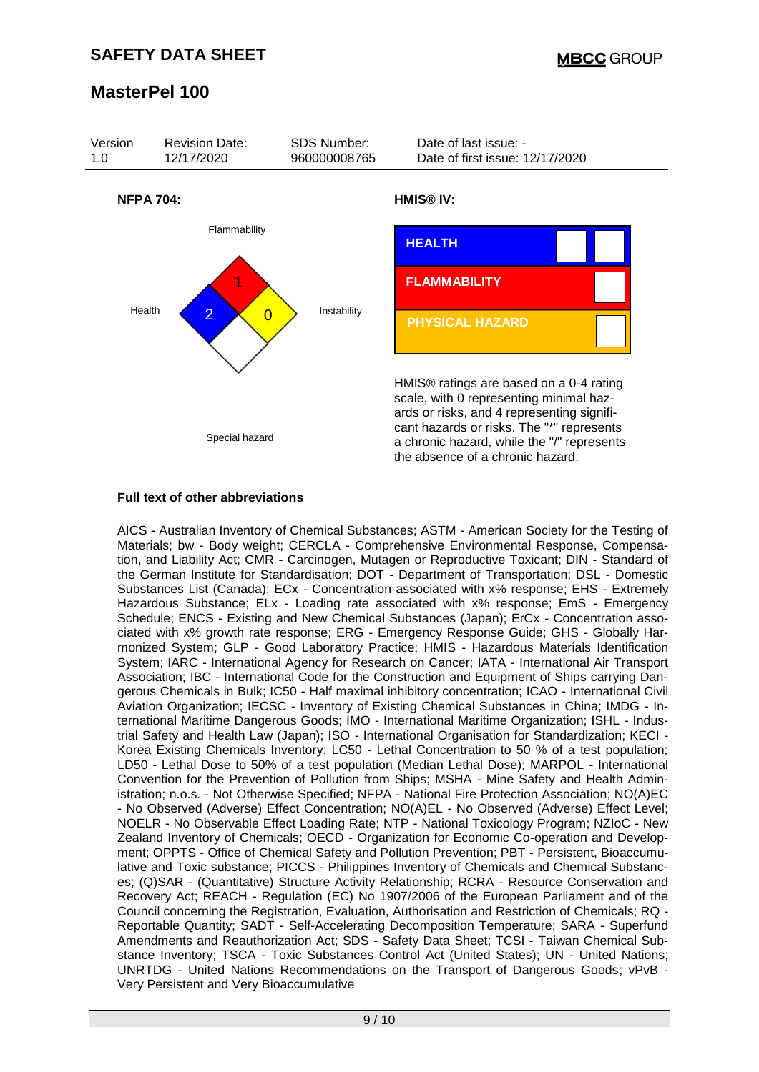

## **Full text of other abbreviations**

AICS - Australian Inventory of Chemical Substances; ASTM - American Society for the Testing of Materials; bw - Body weight; CERCLA - Comprehensive Environmental Response, Compensation, and Liability Act; CMR - Carcinogen, Mutagen or Reproductive Toxicant; DIN - Standard of the German Institute for Standardisation; DOT - Department of Transportation; DSL - Domestic Substances List (Canada); ECx - Concentration associated with x% response; EHS - Extremely Hazardous Substance; ELx - Loading rate associated with x% response; EmS - Emergency Schedule; ENCS - Existing and New Chemical Substances (Japan); ErCx - Concentration associated with x% growth rate response; ERG - Emergency Response Guide; GHS - Globally Harmonized System; GLP - Good Laboratory Practice; HMIS - Hazardous Materials Identification System; IARC - International Agency for Research on Cancer; IATA - International Air Transport Association; IBC - International Code for the Construction and Equipment of Ships carrying Dangerous Chemicals in Bulk; IC50 - Half maximal inhibitory concentration; ICAO - International Civil Aviation Organization; IECSC - Inventory of Existing Chemical Substances in China; IMDG - International Maritime Dangerous Goods; IMO - International Maritime Organization; ISHL - Industrial Safety and Health Law (Japan); ISO - International Organisation for Standardization; KECI - Korea Existing Chemicals Inventory; LC50 - Lethal Concentration to 50 % of a test population; LD50 - Lethal Dose to 50% of a test population (Median Lethal Dose); MARPOL - International Convention for the Prevention of Pollution from Ships; MSHA - Mine Safety and Health Administration; n.o.s. - Not Otherwise Specified; NFPA - National Fire Protection Association; NO(A)EC - No Observed (Adverse) Effect Concentration; NO(A)EL - No Observed (Adverse) Effect Level; NOELR - No Observable Effect Loading Rate; NTP - National Toxicology Program; NZIoC - New Zealand Inventory of Chemicals; OECD - Organization for Economic Co-operation and Development; OPPTS - Office of Chemical Safety and Pollution Prevention; PBT - Persistent, Bioaccumulative and Toxic substance; PICCS - Philippines Inventory of Chemicals and Chemical Substances; (Q)SAR - (Quantitative) Structure Activity Relationship; RCRA - Resource Conservation and Recovery Act; REACH - Regulation (EC) No 1907/2006 of the European Parliament and of the Council concerning the Registration, Evaluation, Authorisation and Restriction of Chemicals; RQ - Reportable Quantity; SADT - Self-Accelerating Decomposition Temperature; SARA - Superfund Amendments and Reauthorization Act; SDS - Safety Data Sheet; TCSI - Taiwan Chemical Substance Inventory; TSCA - Toxic Substances Control Act (United States); UN - United Nations; UNRTDG - United Nations Recommendations on the Transport of Dangerous Goods; vPvB - Very Persistent and Very Bioaccumulative